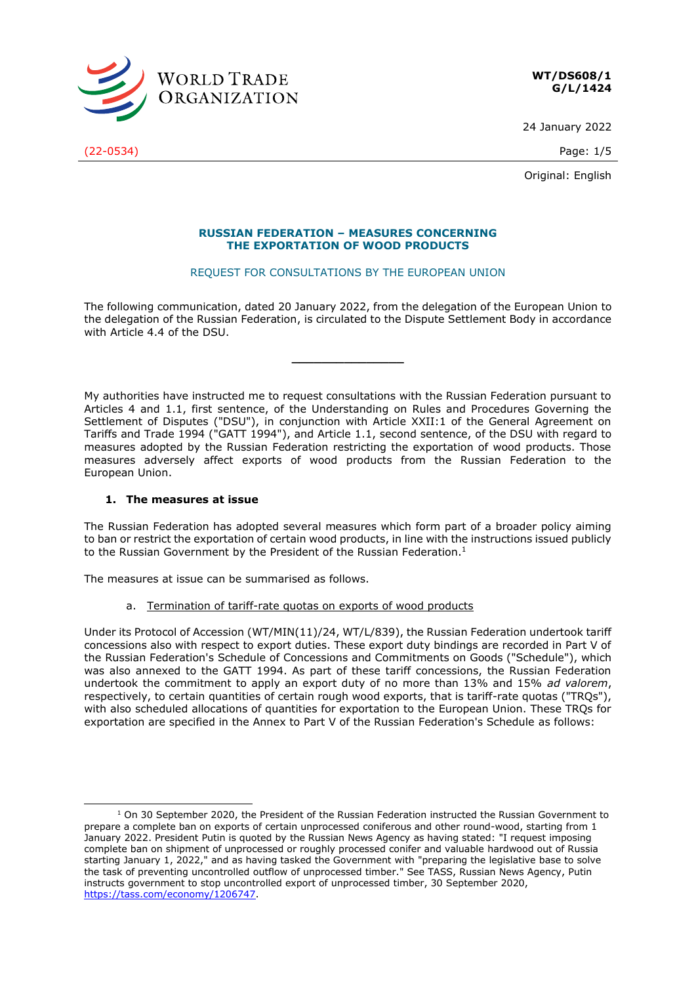

**WT/DS608/1 G/L/1424**

24 January 2022

Original: English

# **RUSSIAN FEDERATION – MEASURES CONCERNING THE EXPORTATION OF WOOD PRODUCTS**

## REQUEST FOR CONSULTATIONS BY THE EUROPEAN UNION

The following communication, dated 20 January 2022, from the delegation of the European Union to the delegation of the Russian Federation, is circulated to the Dispute Settlement Body in accordance with Article 4.4 of the DSU.

**\_\_\_\_\_\_\_\_\_\_\_\_\_\_\_**

My authorities have instructed me to request consultations with the Russian Federation pursuant to Articles 4 and 1.1, first sentence, of the Understanding on Rules and Procedures Governing the Settlement of Disputes ("DSU"), in conjunction with Article XXII:1 of the General Agreement on Tariffs and Trade 1994 ("GATT 1994"), and Article 1.1, second sentence, of the DSU with regard to measures adopted by the Russian Federation restricting the exportation of wood products. Those measures adversely affect exports of wood products from the Russian Federation to the European Union.

# **1. The measures at issue**

The Russian Federation has adopted several measures which form part of a broader policy aiming to ban or restrict the exportation of certain wood products, in line with the instructions issued publicly to the Russian Government by the President of the Russian Federation.<sup>1</sup>

The measures at issue can be summarised as follows.

a. Termination of tariff-rate quotas on exports of wood products

Under its Protocol of Accession (WT/MIN(11)/24, WT/L/839), the Russian Federation undertook tariff concessions also with respect to export duties. These export duty bindings are recorded in Part V of the Russian Federation's Schedule of Concessions and Commitments on Goods ("Schedule"), which was also annexed to the GATT 1994. As part of these tariff concessions, the Russian Federation undertook the commitment to apply an export duty of no more than 13% and 15% *ad valorem*, respectively, to certain quantities of certain rough wood exports, that is tariff-rate quotas ("TRQs"), with also scheduled allocations of quantities for exportation to the European Union. These TRQs for exportation are specified in the Annex to Part V of the Russian Federation's Schedule as follows:

(22-0534) Page: 1/5

 $1$  On 30 September 2020, the President of the Russian Federation instructed the Russian Government to prepare a complete ban on exports of certain unprocessed coniferous and other round-wood, starting from 1 January 2022. President Putin is quoted by the Russian News Agency as having stated: "I request imposing complete ban on shipment of unprocessed or roughly processed conifer and valuable hardwood out of Russia starting January 1, 2022," and as having tasked the Government with "preparing the legislative base to solve the task of preventing uncontrolled outflow of unprocessed timber." See TASS, Russian News Agency, Putin instructs government to stop uncontrolled export of unprocessed timber, 30 September 2020, [https://tass.com/economy/1206747.](https://tass.com/economy/1206747)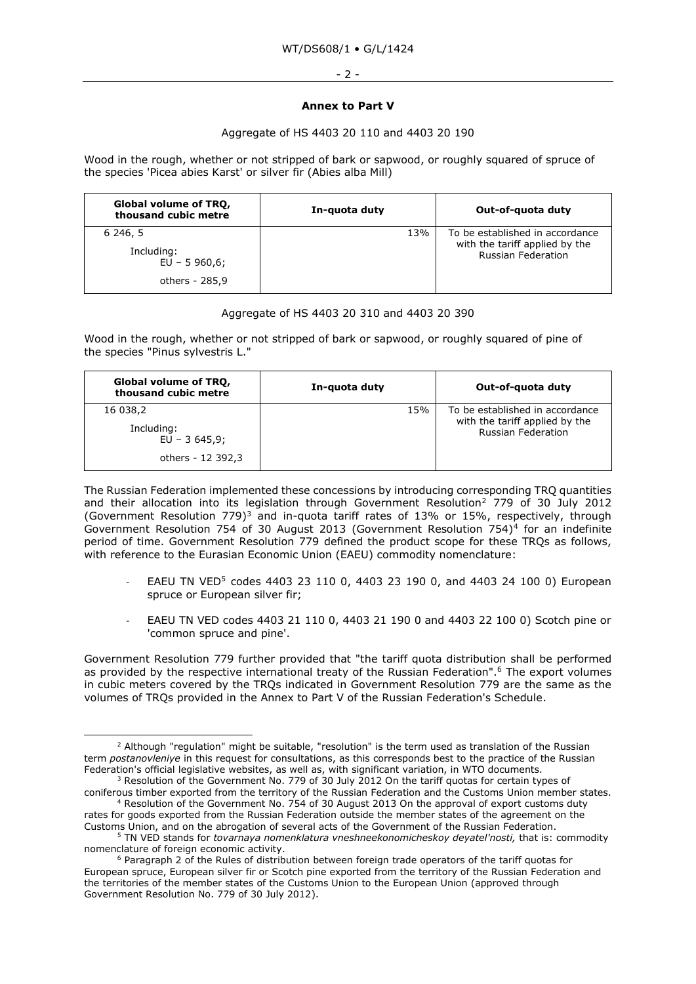#### - 2 -

## **Annex to Part V**

## Aggregate of HS 4403 20 110 and 4403 20 190

Wood in the rough, whether or not stripped of bark or sapwood, or roughly squared of spruce of the species 'Picea abies Karst' or silver fir (Abies alba Mill)

| Global volume of TRQ,<br>thousand cubic metre              | In-quota duty | Out-of-quota duty                                                                              |
|------------------------------------------------------------|---------------|------------------------------------------------------------------------------------------------|
| 6 246, 5<br>Including:<br>$EU - 5960,6;$<br>others - 285,9 | 13%           | To be established in accordance<br>with the tariff applied by the<br><b>Russian Federation</b> |

# Aggregate of HS 4403 20 310 and 4403 20 390

Wood in the rough, whether or not stripped of bark or sapwood, or roughly squared of pine of the species "Pinus sylvestris L."

| Global volume of TRQ,<br>thousand cubic metre                 | In-quota duty | Out-of-quota duty                                                                              |
|---------------------------------------------------------------|---------------|------------------------------------------------------------------------------------------------|
| 16 038,2<br>Including:<br>$EU - 3645.9;$<br>others - 12 392,3 | 15%           | To be established in accordance<br>with the tariff applied by the<br><b>Russian Federation</b> |

The Russian Federation implemented these concessions by introducing corresponding TRQ quantities and their allocation into its legislation through Government Resolution<sup>2</sup> 779 of 30 July 2012 (Government Resolution 779)<sup>3</sup> and in-quota tariff rates of 13% or 15%, respectively, through Government Resolution 754 of 30 August 2013 (Government Resolution 754)<sup>4</sup> for an indefinite period of time. Government Resolution 779 defined the product scope for these TRQs as follows, with reference to the Eurasian Economic Union (EAEU) commodity nomenclature:

- EAEU TN VED<sup>5</sup> codes [4403 23 110 0,](http://ivo.garant.ru/document/redirect/70205520/4403) 4403 23 190 0, and 4403 24 100 0) European spruce or European silver fir;
- EAEU TN VED codes 4403 21 110 0, 4403 21 190 0 and 4403 22 100 0) Scotch pine or 'common spruce and pine'.

Government Resolution 779 further provided that "the tariff quota distribution shall be performed as provided by the respective international treaty of the Russian Federation".<sup>6</sup> The export volumes in cubic meters covered by the TRQs indicated in Government Resolution 779 are the same as the volumes of TRQs provided in the Annex to Part V of the Russian Federation's Schedule.

<sup>&</sup>lt;sup>2</sup> Although "regulation" might be suitable, "resolution" is the term used as translation of the Russian term *postanovleniye* in this request for consultations, as this corresponds best to the practice of the Russian Federation's official legislative websites, as well as, with significant variation, in WTO documents.  $3$  Resolution of the Government No. 779 of 30 July 2012 On the tariff quotas for certain types of

[coniferous timber exported from the territory of the Russian Federation and the Customs Union member states.](http://ivo.garant.ru/document/redirect/70211774/0) <sup>4</sup> Resolution of the Government No. 754 of 30 August 2013 On the approval of export customs duty

rates for goods exported from the Russian Federation outside the member states of the agreement on the Customs Union, and on the abrogation of several acts of the Government of the Russian Federation.

<sup>5</sup> TN VED stands for *tovarnaya nomenklatura vneshneekonomicheskoy deyatel'nosti,* that is: commodity nomenclature of foreign economic activity.

 $6$  Paragraph 2 of the Rules of distribution between foreign trade operators of the tariff quotas for European spruce, European silver fir or Scotch pine exported from the territory of the Russian Federation and the territories of the member states of the Customs Union to the European Union (approved through Government Resolution No. 779 of 30 July 2012).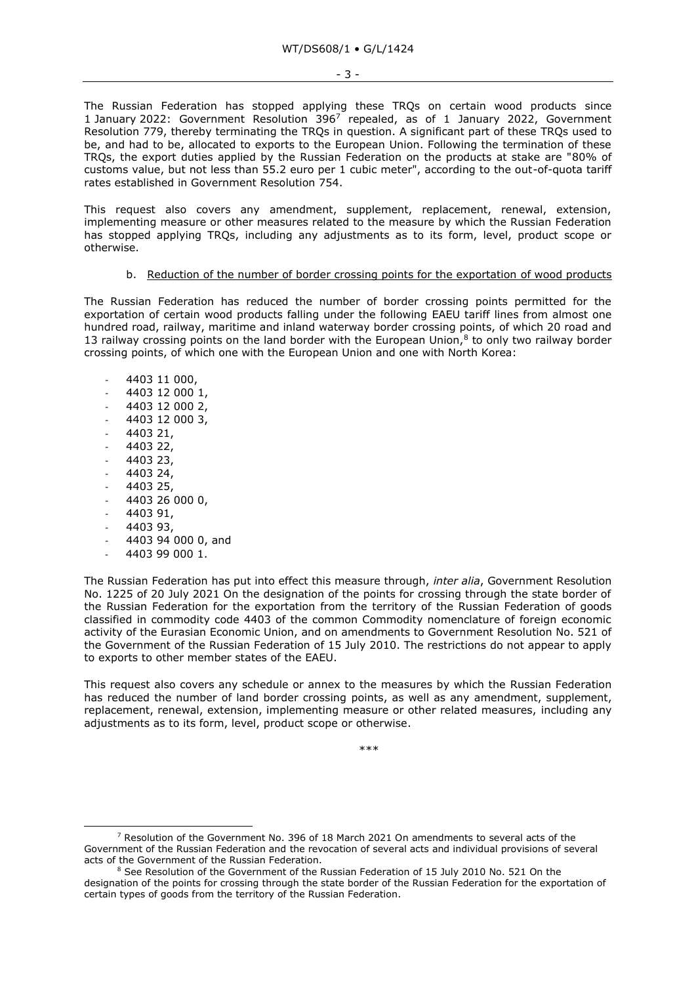The Russian Federation has stopped applying these TRQs on certain wood products since 1 January 2022: Government Resolution 396<sup>7</sup> repealed, as of 1 January 2022, Government Resolution 779, thereby terminating the TRQs in question. A significant part of these TRQs used to be, and had to be, allocated to exports to the European Union. Following the termination of these TRQs, the export duties applied by the Russian Federation on the products at stake are "80% of customs value, but not less than 55.2 euro per 1 cubic meter", according to the out-of-quota tariff rates established in Government Resolution 754.

This request also covers any amendment, supplement, replacement, renewal, extension, implementing measure or other measures related to the measure by which the Russian Federation has stopped applying TRQs, including any adjustments as to its form, level, product scope or otherwise.

### b. Reduction of the number of border crossing points for the exportation of wood products

The Russian Federation has reduced the number of border crossing points permitted for the exportation of certain wood products falling under the following EAEU tariff lines from almost one hundred road, railway, maritime and inland waterway border crossing points, of which 20 road and 13 railway crossing points on the land border with the European Union, $8$  to only two railway border crossing points, of which one with the European Union and one with North Korea:

- 4403 11 000,
- 4403 12 000 1,
- 4403 12 000 2,
- 4403 12 000 3,
- 4403 21,
- 4403 22,
- 4403 23,
- 4403 24,
- 4403 25,
- 4403 26 000 0,
- 4403 91,
- 4403 93,
- 4403 94 000 0, and
- 4403 99 000 1.

The Russian Federation has put into effect this measure through, *inter alia*, Government Resolution No. 1225 of 20 July 2021 On the designation of the points for crossing through the state border of the Russian Federation for the exportation from the territory of the Russian Federation of goods classified in commodity code 4403 of the common Commodity nomenclature of foreign economic activity of the Eurasian Economic Union, and on amendments to Government Resolution No. 521 of the Government of the Russian Federation of 15 July 2010. The restrictions do not appear to apply to exports to other member states of the EAEU.

This request also covers any schedule or annex to the measures by which the Russian Federation has reduced the number of land border crossing points, as well as any amendment, supplement, replacement, renewal, extension, implementing measure or other related measures, including any adjustments as to its form, level, product scope or otherwise.

\*\*\*

 $7$  Resolution of the Government No. 396 of 18 March 2021 On amendments to several acts of the Government of the Russian Federation and the revocation of several acts and individual provisions of several acts of the Government of the Russian Federation.

 $8$  See Resolution of the Government of the Russian Federation of 15 July 2010 No. 521 On the designation of the points for crossing through the state border of the Russian Federation for the exportation of certain types of goods from the territory of the Russian Federation.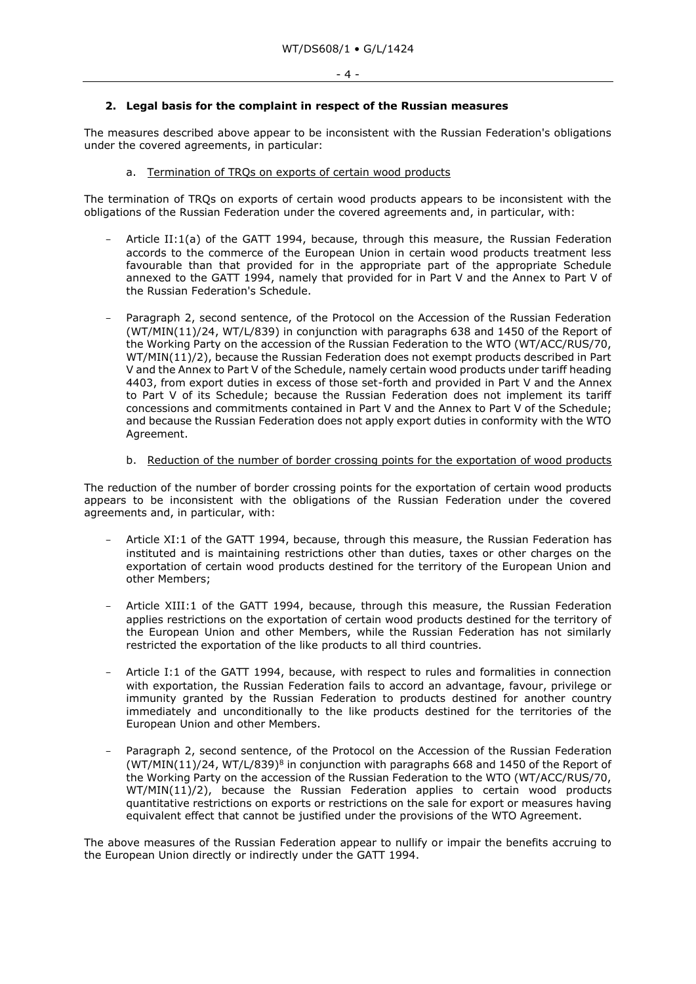## **2. Legal basis for the complaint in respect of the Russian measures**

The measures described above appear to be inconsistent with the Russian Federation's obligations under the covered agreements, in particular:

## a. Termination of TRQs on exports of certain wood products

The termination of TRQs on exports of certain wood products appears to be inconsistent with the obligations of the Russian Federation under the covered agreements and, in particular, with:

- Article II:1(a) of the GATT 1994, because, through this measure, the Russian Federation accords to the commerce of the European Union in certain wood products treatment less favourable than that provided for in the appropriate part of the appropriate Schedule annexed to the GATT 1994, namely that provided for in Part V and the Annex to Part V of the Russian Federation's Schedule.
- Paragraph 2, second sentence, of the Protocol on the Accession of the Russian Federation (WT/MIN(11)/24, WT/L/839) in conjunction with paragraphs 638 and 1450 of the Report of the Working Party on the accession of the Russian Federation to the WTO (WT/ACC/RUS/70, WT/MIN(11)/2), because the Russian Federation does not exempt products described in Part V and the Annex to Part V of the Schedule, namely certain wood products under tariff heading 4403, from export duties in excess of those set-forth and provided in Part V and the Annex to Part V of its Schedule; because the Russian Federation does not implement its tariff concessions and commitments contained in Part V and the Annex to Part V of the Schedule; and because the Russian Federation does not apply export duties in conformity with the WTO Agreement.

### b. Reduction of the number of border crossing points for the exportation of wood products

The reduction of the number of border crossing points for the exportation of certain wood products appears to be inconsistent with the obligations of the Russian Federation under the covered agreements and, in particular, with:

- Article XI:1 of the GATT 1994, because, through this measure, the Russian Federation has instituted and is maintaining restrictions other than duties, taxes or other charges on the exportation of certain wood products destined for the territory of the European Union and other Members;
- Article XIII:1 of the GATT 1994, because, through this measure, the Russian Federation applies restrictions on the exportation of certain wood products destined for the territory of the European Union and other Members, while the Russian Federation has not similarly restricted the exportation of the like products to all third countries.
- Article I:1 of the GATT 1994, because, with respect to rules and formalities in connection with exportation, the Russian Federation fails to accord an advantage, favour, privilege or immunity granted by the Russian Federation to products destined for another country immediately and unconditionally to the like products destined for the territories of the European Union and other Members.
- Paragraph 2, second sentence, of the Protocol on the Accession of the Russian Federation  $(WT/MIN(11)/24$ , WT/L/839)<sup>8</sup> in conjunction with paragraphs 668 and 1450 of the Report of the Working Party on the accession of the Russian Federation to the WTO (WT/ACC/RUS/70, WT/MIN(11)/2), because the Russian Federation applies to certain wood products quantitative restrictions on exports or restrictions on the sale for export or measures having equivalent effect that cannot be justified under the provisions of the WTO Agreement.

The above measures of the Russian Federation appear to nullify or impair the benefits accruing to the European Union directly or indirectly under the GATT 1994.